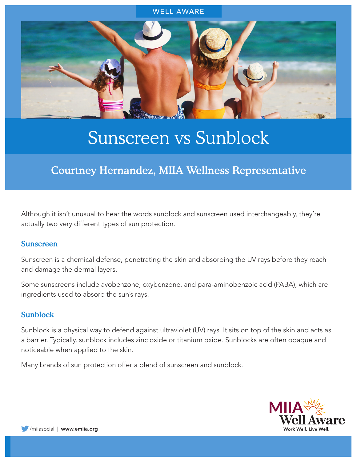

# Sunscreen vs Sunblock

# Courtney Hernandez, MIIA Wellness Representative

Although it isn't unusual to hear the words sunblock and sunscreen used interchangeably, they're actually two very different types of sun protection.

#### Sunscreen

Sunscreen is a chemical defense, penetrating the skin and absorbing the UV rays before they reach and damage the dermal layers.

Some sunscreens include avobenzone, oxybenzone, and para-aminobenzoic acid (PABA), which are ingredients used to absorb the sun's rays.

#### Sunblock

Sunblock is a physical way to defend against ultraviolet (UV) rays. It sits on top of the skin and acts as a barrier. Typically, sunblock includes zinc oxide or titanium oxide. Sunblocks are often opaque and noticeable when applied to the skin.

Many brands of sun protection offer a blend of sunscreen and sunblock.

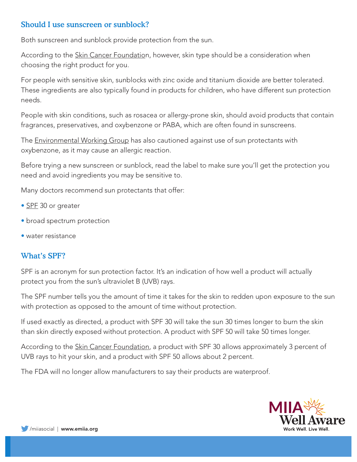# Should I use sunscreen or sunblock?

Both sunscreen and sunblock provide protection from the sun.

According to the [Skin Cancer Foundatio](https://www.skincancer.org/blog/get-the-most-out-of-your-sunscreen/)n, however, skin type should be a consideration when choosing the right product for you.

For people with sensitive skin, sunblocks with zinc oxide and titanium dioxide are better tolerated. These ingredients are also typically found in products for children, who have different sun protection needs.

People with skin conditions, such as rosacea or allergy-prone skin, should avoid products that contain fragrances, preservatives, and oxybenzone or PABA, which are often found in sunscreens.

The **Environmental Working Group** has also cautioned against use of sun protectants with oxybenzone, as it may cause an allergic reaction.

Before trying a new sunscreen or sunblock, read the label to make sure you'll get the protection you need and avoid ingredients you may be sensitive to.

Many doctors recommend sun protectants that offer:

- [SPF](https://www.healthline.com/health/what-spf-should-i-use) 30 or greater
- broad spectrum protection
- water resistance

# What's SPF?

SPF is an acronym for sun protection factor. It's an indication of how well a product will actually protect you from the sun's ultraviolet B (UVB) rays.

The SPF number tells you the amount of time it takes for the skin to redden upon exposure to the sun with protection as opposed to the amount of time without protection.

If used exactly as directed, a product with SPF 30 will take the sun 30 times longer to burn the skin than skin directly exposed without protection. A product with SPF 50 will take 50 times longer.

According to the **[Skin Cancer Foundation](https://www.skincancer.org/blog/ask-the-expert-does-a-high-spf-protect-my-skin-better/)**, a product with SPF 30 allows approximately 3 percent of UVB rays to hit your skin, and a product with SPF 50 allows about 2 percent.

The FDA will no longer allow manufacturers to say their products are waterproof.

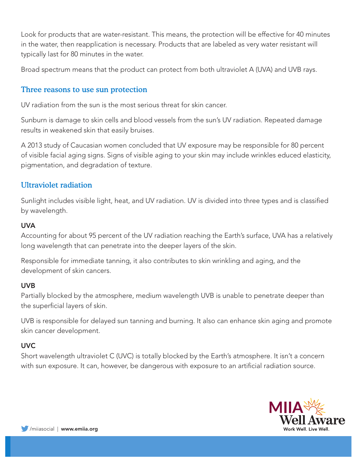Look for products that are water-resistant. This means, the protection will be effective for 40 minutes in the water, then reapplication is necessary. Products that are labeled as very water resistant will typically last for 80 minutes in the water.

Broad spectrum means that the product can protect from both ultraviolet A (UVA) and UVB rays.

## Three reasons to use sun protection

UV radiation from the sun is the most serious threat for skin cancer.

Sunburn is damage to skin cells and blood vessels from the sun's UV radiation. Repeated damage results in weakened skin that easily bruises.

A 2013 study of Caucasian women concluded that UV exposure may be responsible for 80 percent of visible facial aging signs. Signs of visible aging to your skin may include wrinkles educed elasticity, pigmentation, and degradation of texture.

## Ultraviolet radiation

Sunlight includes visible light, heat, and UV radiation. UV is divided into three types and is classified by wavelength.

#### **UVA**

Accounting for about 95 percent of the UV radiation reaching the Earth's surface, UVA has a relatively long wavelength that can penetrate into the deeper layers of the skin.

Responsible for immediate tanning, it also contributes to skin wrinkling and aging, and the development of skin cancers.

#### UVB

Partially blocked by the atmosphere, medium wavelength UVB is unable to penetrate deeper than the superficial layers of skin.

UVB is responsible for delayed sun tanning and burning. It also can enhance skin aging and promote skin cancer development.

#### UVC

Short wavelength ultraviolet C (UVC) is totally blocked by the Earth's atmosphere. It isn't a concern with sun exposure. It can, however, be dangerous with exposure to an artificial radiation source.